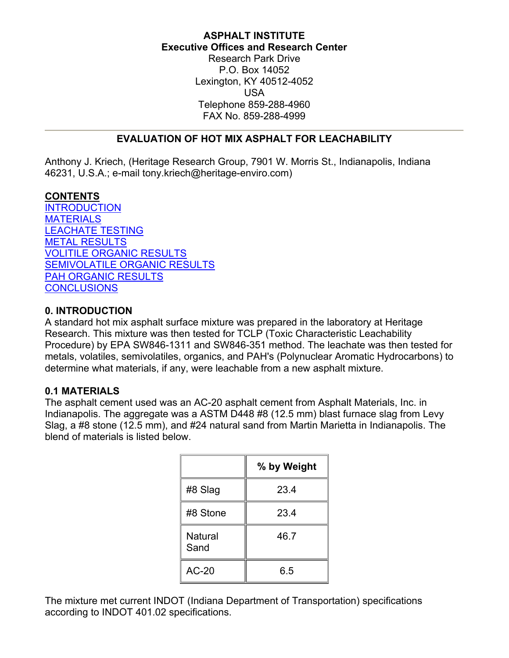# **ASPHALT INSTITUTE Executive Offices and Research Center**

Research Park Drive P.O. Box 14052 Lexington, KY 40512-4052 USA Telephone 859-288-4960 FAX No. 859-288-4999

# **EVALUATION OF HOT MIX ASPHALT FOR LEACHABILITY**

<span id="page-0-0"></span>Anthony J. Kriech, (Heritage Research Group, 7901 W. Morris St., Indianapolis, Indiana 46231, U.S.A.; e-mail tony.kriech@heritage-enviro.com)

## **CONTENTS**

**[INTRODUCTION](#page-0-0)** [MATERIALS](#page-0-0) [LEACHATE TESTING](#page-1-0) [METAL RESULTS](#page-1-0) [VOLITILE ORGANIC RESULTS](#page-1-0) [SEMIVOLATILE ORGANIC RESULTS](#page-1-0) [PAH ORGANIC RESULTS](#page-1-0) **[CONCLUSIONS](#page-1-0)** 

### **0. INTRODUCTION**

A standard hot mix asphalt surface mixture was prepared in the laboratory at Heritage Research. This mixture was then tested for TCLP (Toxic Characteristic Leachability Procedure) by EPA SW846-1311 and SW846-351 method. The leachate was then tested for metals, volatiles, semivolatiles, organics, and PAH's (Polynuclear Aromatic Hydrocarbons) to determine what materials, if any, were leachable from a new asphalt mixture.

#### **0.1 MATERIALS**

The asphalt cement used was an AC-20 asphalt cement from Asphalt Materials, Inc. in Indianapolis. The aggregate was a ASTM D448 #8 (12.5 mm) blast furnace slag from Levy Slag, a #8 stone (12.5 mm), and #24 natural sand from Martin Marietta in Indianapolis. The blend of materials is listed below.

|                        | % by Weight |
|------------------------|-------------|
| #8 Slag                | 23.4        |
| #8 Stone               | 23.4        |
| <b>Natural</b><br>Sand | 46.7        |
| $AC-20$                | 6.5         |

The mixture met current INDOT (Indiana Department of Transportation) specifications according to INDOT 401.02 specifications.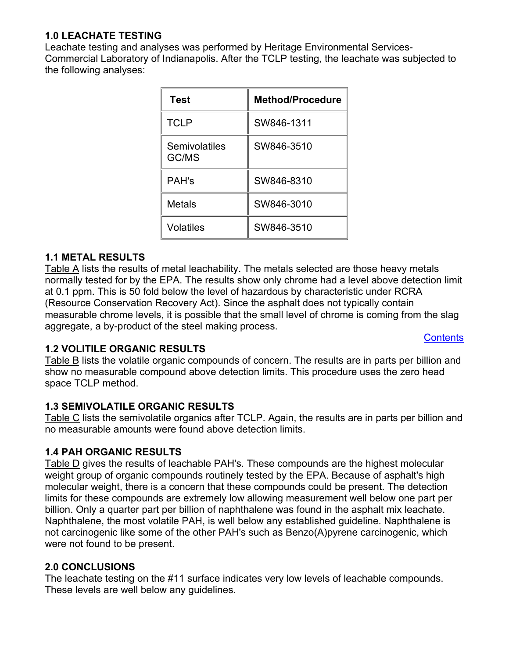# <span id="page-1-0"></span>**1.0 LEACHATE TESTING**

Leachate testing and analyses was performed by Heritage Environmental Services-Commercial Laboratory of Indianapolis. After the TCLP testing, the leachate was subjected to the following analyses:

| <b>Test</b>            | <b>Method/Procedure</b> |
|------------------------|-------------------------|
| <b>TCLP</b>            | SW846-1311              |
| Semivolatiles<br>GC/MS | SW846-3510              |
| <b>PAH's</b>           | SW846-8310              |
| Metals                 | SW846-3010              |
| Volatiles              | SW846-3510              |

#### **1.1 METAL RESULTS**

[Table A](#page-2-0) lists the results of metal leachability. The metals selected are those heavy metals normally tested for by the EPA. The results show only chrome had a level above detection limit at 0.1 ppm. This is 50 fold below the level of hazardous by characteristic under RCRA (Resource Conservation Recovery Act). Since the asphalt does not typically contain measurable chrome levels, it is possible that the small level of chrome is coming from the slag aggregate, a by-product of the steel making process.

**[Contents](#page-0-0)** 

#### **1.2 VOLITILE ORGANIC RESULTS**

[Table B](#page-2-0) lists the volatile organic compounds of concern. The results are in parts per billion and show no measurable compound above detection limits. This procedure uses the zero head space TCLP method.

## **1.3 SEMIVOLATILE ORGANIC RESULTS**

[Table C](#page-3-0) lists the semivolatile organics after TCLP. Again, the results are in parts per billion and no measurable amounts were found above detection limits.

#### **1.4 PAH ORGANIC RESULTS**

[Table D](#page-4-0) gives the results of leachable PAH's. These compounds are the highest molecular weight group of organic compounds routinely tested by the EPA. Because of asphalt's high molecular weight, there is a concern that these compounds could be present. The detection limits for these compounds are extremely low allowing measurement well below one part per billion. Only a quarter part per billion of naphthalene was found in the asphalt mix leachate. Naphthalene, the most volatile PAH, is well below any established guideline. Naphthalene is not carcinogenic like some of the other PAH's such as Benzo(A)pyrene carcinogenic, which were not found to be present.

#### **2.0 CONCLUSIONS**

The leachate testing on the #11 surface indicates very low levels of leachable compounds. These levels are well below any guidelines.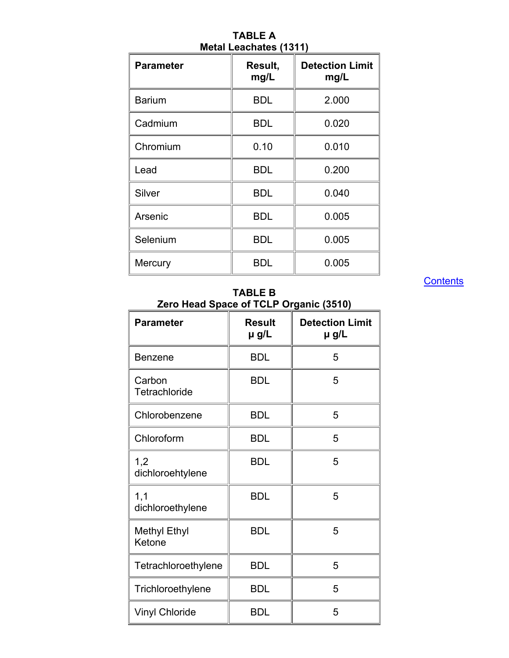<span id="page-2-0"></span>

| <b>Parameter</b> | Result,<br>mg/L | <b>Detection Limit</b><br>mg/L |
|------------------|-----------------|--------------------------------|
| <b>Barium</b>    | <b>BDL</b>      | 2.000                          |
| Cadmium          | <b>BDL</b>      | 0.020                          |
| Chromium         | 0.10            | 0.010                          |
| Lead             | <b>BDL</b>      | 0.200                          |
| Silver           | <b>BDL</b>      | 0.040                          |
| Arsenic          | <b>BDL</b>      | 0.005                          |
| Selenium         | <b>BDL</b>      | 0.005                          |
| Mercury          | <b>BDL</b>      | 0.005                          |

**[Contents](#page-0-0)** 

### **TABLE B Zero Head Space of TCLP Organic (3510)**

| <b>Parameter</b>              | <b>Result</b><br>µ g/L | <b>Detection Limit</b><br>µ g/L |
|-------------------------------|------------------------|---------------------------------|
| <b>Benzene</b>                | <b>BDL</b>             | 5                               |
| Carbon<br>Tetrachloride       | <b>BDL</b>             | 5                               |
| Chlorobenzene                 | <b>BDL</b>             | 5                               |
| Chloroform                    | <b>BDL</b>             | 5                               |
| 1,2<br>dichloroehtylene       | <b>BDL</b>             | 5                               |
| 1,1<br>dichloroethylene       | BDL                    | 5                               |
| <b>Methyl Ethyl</b><br>Ketone | <b>BDL</b>             | 5                               |
| Tetrachloroethylene           | <b>BDL</b>             | 5                               |
| Trichloroethylene             | <b>BDL</b>             | 5                               |
| <b>Vinyl Chloride</b>         | <b>BDL</b>             | 5                               |

**TABLE A Metal Leachates (1311)**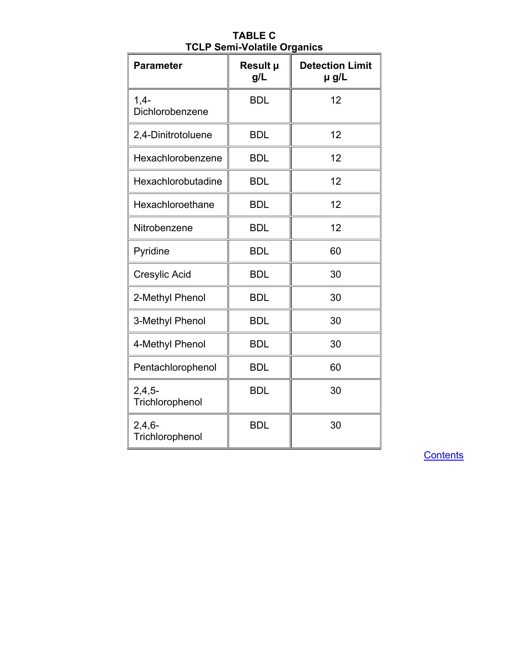<span id="page-3-0"></span>

| <b>Parameter</b>            | Result µ<br>g/L | <b>Detection Limit</b><br>µ g/L |
|-----------------------------|-----------------|---------------------------------|
| $1,4-$<br>Dichlorobenzene   | <b>BDL</b>      | 12                              |
| 2,4-Dinitrotoluene          | <b>BDL</b>      | 12                              |
| Hexachlorobenzene           | <b>BDL</b>      | 12                              |
| Hexachlorobutadine          | <b>BDL</b>      | 12                              |
| Hexachloroethane            | <b>BDL</b>      | 12                              |
| Nitrobenzene                | <b>BDL</b>      | 12                              |
| Pyridine                    | <b>BDL</b>      | 60                              |
| Cresylic Acid               | <b>BDL</b>      | 30                              |
| 2-Methyl Phenol             | <b>BDL</b>      | 30                              |
| 3-Methyl Phenol             | <b>BDL</b>      | 30                              |
| 4-Methyl Phenol             | <b>BDL</b>      | 30                              |
| Pentachlorophenol           | <b>BDL</b>      | 60                              |
| $2,4,5-$<br>Trichlorophenol | <b>BDL</b>      | 30                              |
| $2,4,6-$<br>Trichlorophenol | <b>BDL</b>      | 30                              |

**TABLE C TCLP Semi-Volatile Organics** 

**[Contents](#page-0-0)**